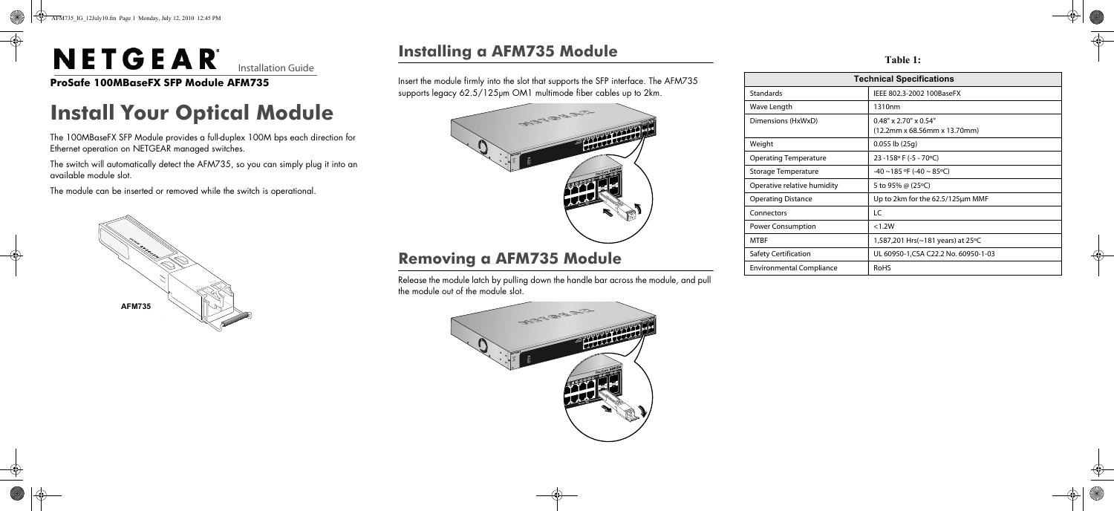

e **ProSafe 100MBaseFX SFP Module AFM735**

# **Install Your Optical Module**

The 100MBaseFX SFP Module provides a full-duplex 100M bps each direction for Ethernet operation on NETGEAR managed switches.

The switch will automatically detect the AFM735, so you can simply plug it into an available module slot.

The module can be inserted or removed while the switch is operational.



### **Installing a AFM735 Module**

Insert the module firmly into the slot that supports the SFP interface. The AFM735 supports legacy 62.5/125µm OM1 multimode fiber cables up to 2km.

#### **Removing a AFM735 Module**

Release the module latch by pulling down the handle bar across the module, and pull the module out of the module slot.





### Standar

Wave L Dimens

Weight

Operati

Operati

Connec

Power

Environ

**Table 1:** 

| <b>Technical Specifications</b> |                                                                                                       |
|---------------------------------|-------------------------------------------------------------------------------------------------------|
| Standards                       | IEEE 802.3-2002 100BaseFX                                                                             |
| Wave Length                     | 1310nm                                                                                                |
| Dimensions (HxWxD)              | $0.48" \times 2.70" \times 0.54"$<br>$(12.2 \text{mm} \times 68.56 \text{mm} \times 13.70 \text{mm})$ |
| Weight                          | $0.055$ lb $(25q)$                                                                                    |
| Operating Temperature           | 23 -158° F (-5 - 70°C)                                                                                |
| Storage Temperature             | $-40$ ~185 °F (-40 ~ 85°C)                                                                            |
| Operative relative humidity     | 5 to 95% @ (25°C)                                                                                     |
| Operating Distance              | Up to 2km for the 62.5/125µm MMF                                                                      |
| Connectors                      | LC                                                                                                    |
| <b>Power Consumption</b>        | < 1.2W                                                                                                |
| MTBF                            | 1,587,201 Hrs(~181 years) at 25 °C                                                                    |
| Safety Certification            | UL 60950-1, CSA C22.2 No. 60950-1-03                                                                  |
| Environmental Compliance        | <b>RoHS</b>                                                                                           |